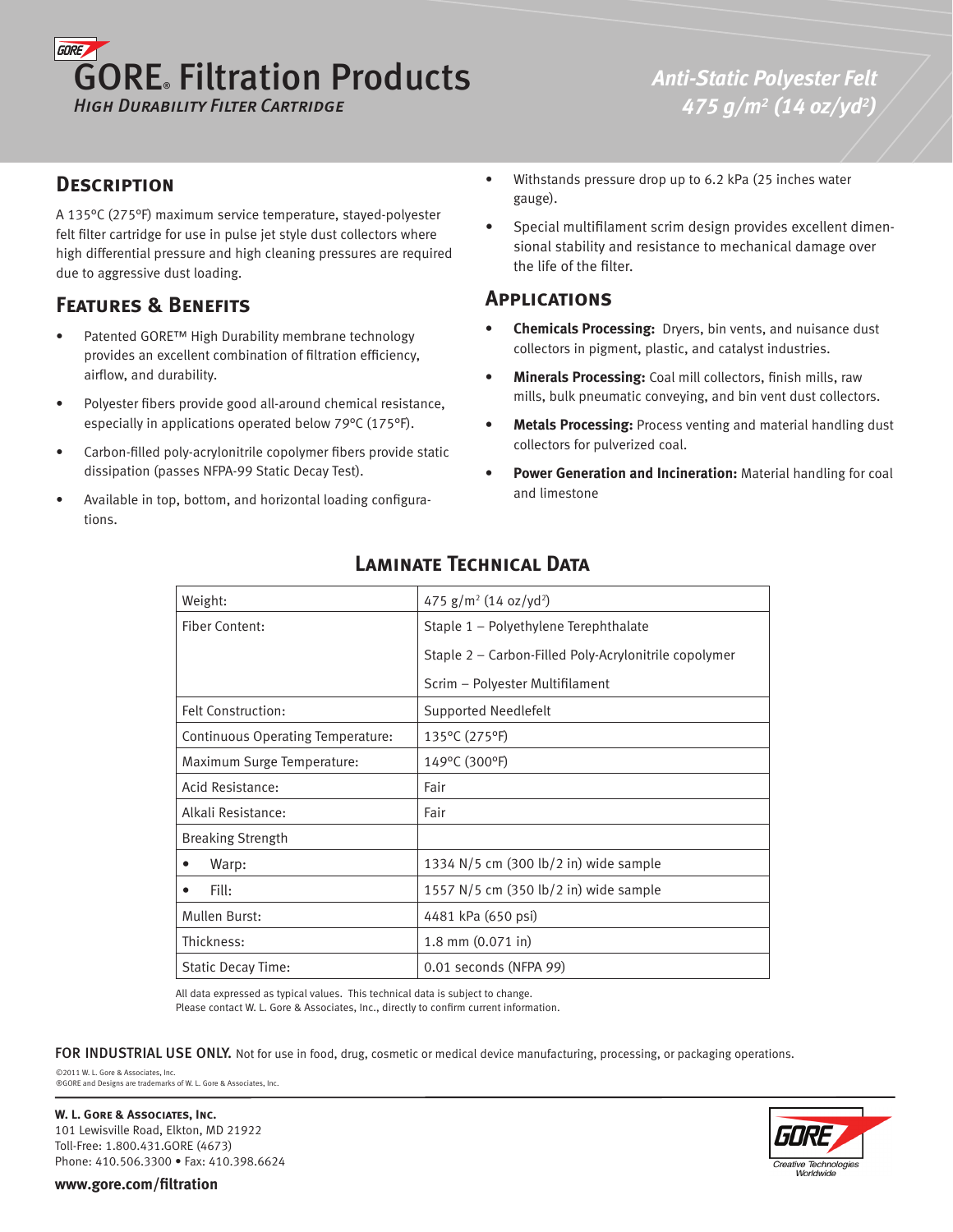# **GORE** GORE® Filtration Products *High Durability Filter Cartridge*

*Anti-Static Polyester Felt 475 g/m2 (14 oz/yd2 )*

#### **Description**

A 135°C (275°F) maximum service temperature, stayed-polyester felt filter cartridge for use in pulse jet style dust collectors where high differential pressure and high cleaning pressures are required due to aggressive dust loading.

# **Features & Benefits**

- Patented GORE™ High Durability membrane technology provides an excellent combination of filtration efficiency, airflow, and durability. •
- Polyester fibers provide good all-around chemical resistance, especially in applications operated below 79°C (175°F). •
- Carbon-filled poly-acrylonitrile copolymer fibers provide static dissipation (passes NFPA-99 Static Decay Test). •
- Available in top, bottom, and horizontal loading configurations. •
- Withstands pressure drop up to 6.2 kPa (25 inches water gauge). •
- Special multifilament scrim design provides excellent dimensional stability and resistance to mechanical damage over the life of the filter. •

#### **Applications**

- **Chemicals Processing:** Dryers, bin vents, and nuisance dust collectors in pigment, plastic, and catalyst industries. **•**
- **Minerals Processing:** Coal mill collectors, finish mills, raw mills, bulk pneumatic conveying, and bin vent dust collectors. **•**
- **Metals Processing:** Process venting and material handling dust collectors for pulverized coal. **•**
- **Power Generation and Incineration:** Material handling for coal and limestone **•**

| Weight:                           | 475 $g/m^2$ (14 oz/yd <sup>2</sup> )                  |
|-----------------------------------|-------------------------------------------------------|
| Fiber Content:                    | Staple 1 - Polyethylene Terephthalate                 |
|                                   | Staple 2 - Carbon-Filled Poly-Acrylonitrile copolymer |
|                                   | Scrim - Polyester Multifilament                       |
| Felt Construction:                | Supported Needlefelt                                  |
| Continuous Operating Temperature: | 135°C (275°F)                                         |
| Maximum Surge Temperature:        | 149°C (300°F)                                         |
| <b>Acid Resistance:</b>           | Fair                                                  |
| Alkali Resistance:                | Fair                                                  |
| <b>Breaking Strength</b>          |                                                       |
| Warp:<br>٠                        | 1334 N/5 cm (300 lb/2 in) wide sample                 |
| Fill:<br>٠                        | 1557 N/5 cm (350 lb/2 in) wide sample                 |
| Mullen Burst:                     | 4481 kPa (650 psi)                                    |
| Thickness:                        | 1.8 mm $(0.071$ in)                                   |
| <b>Static Decay Time:</b>         | 0.01 seconds (NFPA 99)                                |

# **Laminate Technical Data**

All data expressed as typical values. This technical data is subject to change.

Please contact W. L. Gore & Associates, Inc., directly to confirm current information.

FOR INDUSTRIAL USE ONLY. Not for use in food, drug, cosmetic or medical device manufacturing, processing, or packaging operations.

©2011 W. L. Gore & Associates, Inc. ®GORE and Designs are trademarks of W. L. Gore & Associates, Inc.

**W. L. Gore & Associates, Inc.** 101 Lewisville Road, Elkton, MD 21922 Toll-Free: 1.800.431.GORE (4673) Phone: 410.506.3300 • Fax: 410.398.6624



**www.gore.com/filtration**